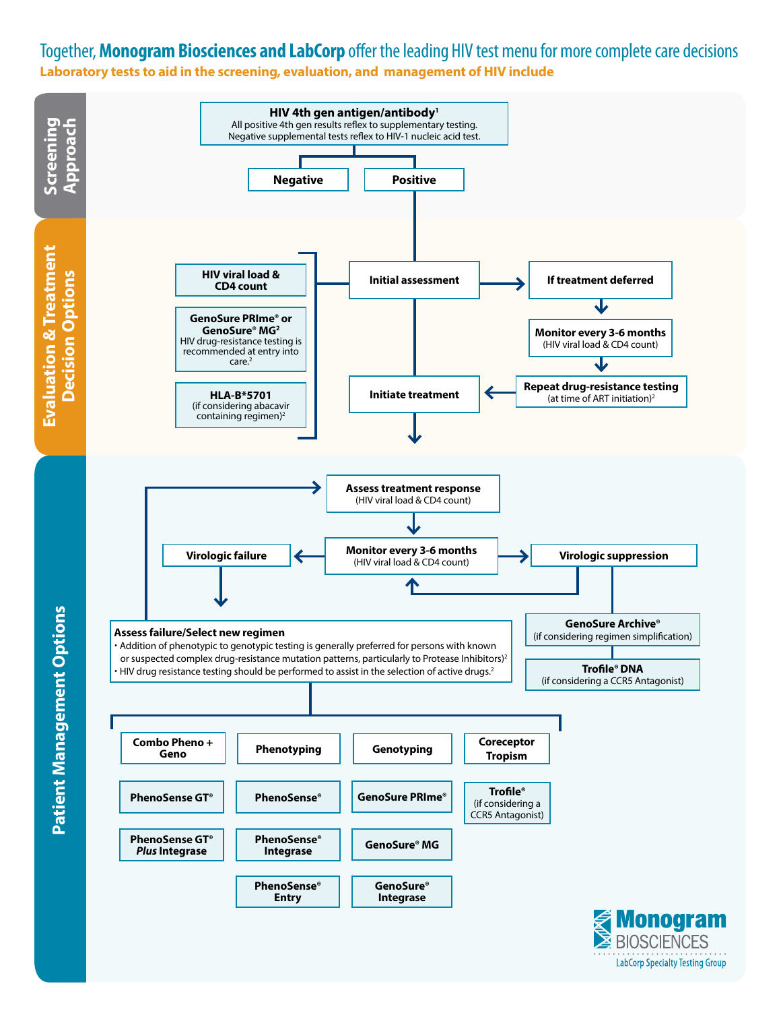#### Together, **Monogram Biosciences and LabCorp** offer the leading HIV test menu for more complete care decisions **Laboratory tests to aid in the screening, evaluation, and management of HIV include**



**LabCorp Specialty Testing Group**